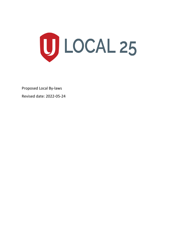

Proposed Local By-laws

Revised date: 2022-05-24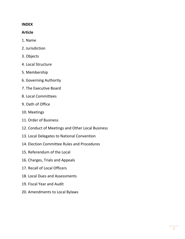#### **INDEX**

#### **Article**

- 1. Name
- 2. Jurisdiction
- 3. Objects
- 4. Local Structure
- 5. Membership
- 6. Governing Authority
- 7. The Executive Board
- 8. Local Committees
- 9. Oath of Office
- 10. Meetings
- 11. Order of Business
- 12. Conduct of Meetings and Other Local Business
- 13. Local Delegates to National Convention
- 14. Election Committee Rules and Procedures
- 15. Referendum of the Local
- 16. Charges, Trials and Appeals
- 17. Recall of Local Officers
- 18. Local Dues and Assessments
- 19. Fiscal Year and Audit
- 20. Amendments to Local Bylaws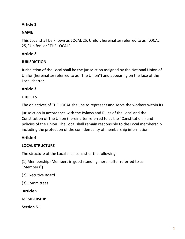# **Article 1**

# **NAME**

This Local shall be known as LOCAL 25, Unifor, hereinafter referred to as "LOCAL 25, "Unifor" or "THE LOCAL".

# **Article 2**

# **JURISDICTION**

Jurisdiction of the Local shall be the jurisdiction assigned by the National Union of Unifor (hereinafter referred to as "The Union") and appearing on the face of the Local charter.

#### **Article 3**

### **OBJECTS**

The objectives of THE LOCAL shall be to represent and serve the workers within its

jurisdiction in accordance with the Bylaws and Rules of the Local and the Constitution of The Union (hereinafter referred to as the "Constitution") and policies of the Union. The Local shall remain responsible to the Local membership including the protection of the confidentiality of membership information.

# **Article 4**

# **LOCAL STRUCTURE**

The structure of the Local shall consist of the following:

(1) Membership (Members in good standing, hereinafter referred to as "Members")

- (2) Executive Board
- (3) Committees

**Article 5** 

#### **MEMBERSHIP**

**Section 5.1**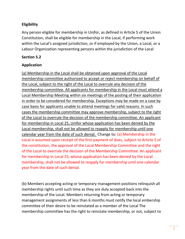### **Eligibility**

Any person eligible for membership in Unifor, as defined in Article 5 of the Union Constitution, shall be eligible for membership in the Local, if performing work within the Local's assigned jurisdiction, or if employed by the Union, a Local, or a Labour Organization representing persons within the jurisdiction of the Local

#### **Section 5.2**

#### **Application**

(a) Membership in the Local shall be obtained upon approval of the Local membership committee authorized to accept or reject membership on behalf of the Local, subject to the right of the Local to overrule any decision of the membership committee. All applicants for membership in the Local must attend a Local Membership Meeting within six meetings of the posting of their application in order to be considered for membership. Exceptions may be made on a case by case basis for applicants unable to attend meetings for valid reasons. In such cases the membership committee may approve membership, subject to the right of the Local to overrule the decision of the membership committee. An applicant for membership in Local 25, Unifor whose application has been denied by the Local membership, shall not be allowed to reapply for membership until one calendar year from the date of such denial. Change to:  $(a)$  Membership in the Local is assumed upon receipt of the first payment of dues, subject to Article 5 of the constitution, the approval of the Local Membership Committee and the right of the Local to overrule the decision of the Membership Committee. An applicant for membership in Local 25, whose application has been denied by the Local membership, shall not be allowed to reapply for membership until one calendar year from the date of such denial.

(b) Members accepting acting or temporary management positions relinquish all membership rights until such time as they are duly accepted back into the membership of the Local. Members returning from acting or temporary management assignments of less than 6 months must notify the local embership committee of their desire to be reinstated as a member of the Local The membership committee has the right to reinstate membership, or not, subject to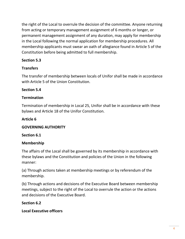the right of the Local to overrule the decision of the committee. Anyone returning from acting or temporary management assignment of 6 months or longer, or permanent management assignment of any duration, may apply for membership in the Local following the normal application for membership procedures. All membership applicants must swear an oath of allegiance found in Article 5 of the Constitution before being admitted to full membership.

# **Section 5.3**

# **Transfers**

The transfer of membership between locals of Unifor shall be made in accordance with Article 5 of the Union Constitution.

# **Section 5.4**

# **Termination**

Termination of membership in Local 25, Unifor shall be in accordance with these bylaws and Article 18 of the Unifor Constitution.

### **Article 6**

# **GOVERNING AUTHORITY**

# **Section 6.1**

# **Membership**

The affairs of the Local shall be governed by its membership in accordance with these bylaws and the Constitution and policies of the Union in the following manner:

(a) Through actions taken at membership meetings or by referendum of the membership.

(b) Through actions and decisions of the Executive Board between membership meetings, subject to the right of the Local to overrule the action or the actions and decisions of the Executive Board.

# **Section 6.2**

**Local Executive officers**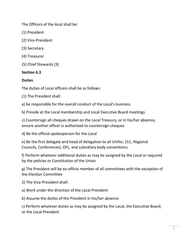The Officers of the local shall be:

- (1) President
- (2) Vice-President
- (3) Secretary
- (4) Treasurer
- (5) Chief Stewards (3)

#### **Section 6.3**

#### **Duties**

The duties of Local officers shall be as follows:

(1) The President shall:

a) be responsible for the overall conduct of the Local's business

b) Preside at the Local membership and Local Executive Board meetings

c) Countersign all cheques drawn on the Local Treasury, or in his/her absence, ensure another officer is authorized to countersign cheques

d) Be the official spokesperson for the Local

e) Be the first delegate and head of delegation to all Unifor, CLC, Regional Councils, Conferences), OFL, and subsidiary body conventions.

f) Perform whatever additional duties as may be assigned by the Local or required by the policies or Constitution of the Union

g) The President will be ex-officio member of all committees with the exception of the Election Committee

2) The Vice-President shall:

a) Work under the direction of the Local President

b) Assume the duties of the President in his/her absence

c) Perform whatever duties as may be assigned by the Local, the Executive Board, or the Local President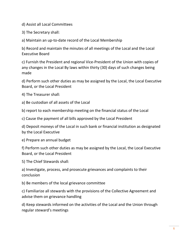d) Assist all Local Committees

3) The Secretary shall:

a) Maintain an up-to-date record of the Local Membership

b) Record and maintain the minutes of all meetings of the Local and the Local Executive Board

c) Furnish the President and regional Vice-President of the Union with copies of any changes in the Local By laws within thirty (30) days of such changes being made

d) Perform such other duties as may be assigned by the Local, the Local Executive Board, or the Local President

4) The Treasurer shall:

a) Be custodian of all assets of the Local

b) report to each membership meeting on the financial status of the Local

c) Cause the payment of all bills approved by the Local President

d) Deposit moneys of the Local in such bank or financial institution as designated by the Local Executive

e) Prepare an annual budget

f) Perform such other duties as may be assigned by the Local, the Local Executive Board, or the Local President

5) The Chief Stewards shall:

a) Investigate, process, and prosecute grievances and complaints to their conclusion

b) Be members of the local grievance committee

c) Familiarize all stewards with the provisions of the Collective Agreement and advise them on grievance handling

d) Keep stewards informed on the activities of the Local and the Union through regular steward's meetings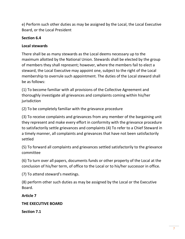e) Perform such other duties as may be assigned by the Local, the Local Executive Board, or the Local President

# **Section 6.4**

# **Local stewards**

There shall be as many stewards as the Local deems necessary up to the maximum allotted by the National Union. Stewards shall be elected by the group of members they shall represent; however, where the members fail to elect a steward, the Local Executive may appoint one, subject to the right of the Local membership to overrule such appointment. The duties of the Local steward shall be as follows:

(1) To become familiar with all provisions of the Collective Agreement and thoroughly investigate all grievances and complaints coming within his/her jurisdiction

(2) To be completely familiar with the grievance procedure

(3) To receive complaints and grievances from any member of the bargaining unit they represent and make every effort in conformity with the grievance procedure to satisfactorily settle grievances and complaints (4) To refer to a Chief Steward in a timely manner, all complaints and grievances that have not been satisfactorily settled

(5) To forward all complaints and grievances settled satisfactorily to the grievance committee

(6) To turn over all papers, documents funds or other property of the Local at the conclusion of his/her term, of office to the Local or to his/her successor in office.

(7) To attend steward's meetings.

(8) perform other such duties as may be assigned by the Local or the Executive Board.

**Article 7** 

# **THE EXECUTIVE BOARD**

**Section 7.1**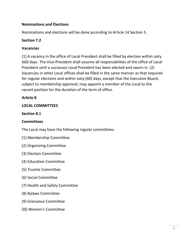### **Nominations and Elections**

Nominations and elections will be done according to Article 14 Section 5.

#### **Section 7.2**

#### **Vacancies**

(1) A vacancy in the office of Local President shall be filled by election within sixty (60) days. The Vice-President shall assume all responsibilities of the office of Local President until a successor Local President has been elected and sworn in. (2) Vacancies in other Local offices shall be filled in the same manner as that required for regular elections and within sixty (60) days, except that the Executive Board, subject to membership approval, may appoint a member of the Local to the vacant position for the duration of the term of office.

### **Article 8**

#### **LOCAL COMMITTEES**

#### **Section 8.1**

#### **Committees**

The Local may have the following regular committees:

- (1) Membership Committee
- (2) Organizing Committee
- (3) Election Committee
- (4) Education Committee
- (5) Trustee Committee
- (6) Social Committee
- (7) Health and Safety Committee
- (8) Bylaws Committee
- (9) Grievance Committee
- (l0) Women's Committee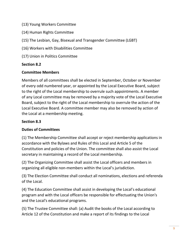- (13) Young Workers Committee
- (14) Human Rights Committee
- (15) The Lesbian, Gay, Bisexual and Transgender Committee (LGBT)
- (16) Workers with Disabilities Committee
- (17) Union in Politics Committee

### **Section 8.2**

#### **Committee Members**

Members of all committees shall be elected in September, October or November of every odd numbered year, or appointed by the Local Executive Board, subject to the right of the Local membership to overrule such appointments. A member of any Local committee may be removed by a majority vote of the Local Executive Board, subject to the right of the Local membership to overrule the action of the Local Executive Board. A committee member may also be removed by action of the Local at a membership meeting.

# **Section 8.3**

# **Duties of Committees**

(1) The Membership Committee shall accept or reject membership applications in accordance with the Bylaws and Rules of this Local and Article 5 of the Constitution and policies of the Union. The committee shall also assist the Local secretary in maintaining a record of the Local membership.

(2) The Organizing Committee shall assist the Local officers and members in organizing all eligible non-members within the Local's jurisdiction.

(3) The Election Committee shall conduct all nominations, elections and referenda of the Local.

(4) The Education Committee shall assist in developing the Local's educational program and with the Local officers be responsible for effectuating the Union's and the Local's educational programs.

(5) The Trustee Committee shall: (a) Audit the books of the Local according to Article 12 of the Constitution and make a report of its findings to the Local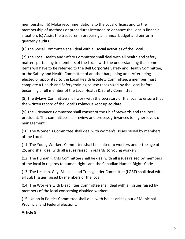membership. (b) Make recommendations to the Local officers and to the membership of methods or procedures intended to enhance the Local's financial situation. (c) Assist the treasurer in preparing an annual budget and perform quarterly audits.

(6) The Social Committee shall deal with all social activities of the Local.

(7) The Local Health and Safety Committee shall deal with all health and safety matters pertaining to members of the Local, with the understanding that some items will have to be referred to the Bell Corporate Safety and Health Committee, or the Safety and Health Committee of another bargaining unit. After being elected or appointed to the Local Health & Safety Committee, a member must complete a Health and Safety training course recognized by the Local before becoming a full member of the Local Health & Safety Committee.

(8) The Bylaws Committee shall work with the secretary of the local to ensure that the written record of the Local's Bylaws is kept up-to-date.

(9) The Grievance Committee shall consist of the Chief Stewards and the local president. This committee shall review and process grievances to higher levels of management.

(10) The Women's Committee shall deal with women's issues raised by members of the Local.

(11) The Young Workers Committee shall be limited to workers under the age of 25, and shall deal with all issues raised in regards to young workers

(12) The Human Rights Committee shall be deal with all issues raised by members of the local in regards to human rights and the Canadian Human Rights Code

(13) The Lesbian, Gay, Bisexual and Transgender Committee (LGBT) shall deal with all LGBT issues raised by members of the local

(14) The Workers with Disabilities Committee shall deal with all issues raised by members of the local concerning disabled workers

(15) Union in Politics Committee shall deal with issues arising out of Municipal, Provincial and Federal elections.

# **Article 9**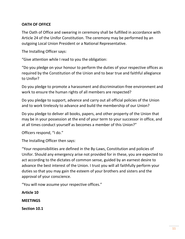#### **OATH OF OFFICE**

The Oath of Office and swearing in ceremony shall be fulfilled in accordance with Article 24 of the Unifor Constitution. The ceremony may be performed by an outgoing Local Union President or a National Representative.

The Installing Officer says:

"Give attention while I read to you the obligation:

"Do you pledge on your honour to perform the duties of your respective offices as required by the Constitution of the Union and to bear true and faithful allegiance to Unifor?

Do you pledge to promote a harassment and discrimination-free environment and work to ensure the human rights of all members are respected?

Do you pledge to support, advance and carry out all official policies of the Union and to work tirelessly to advance and build the membership of our Union?

Do you pledge to deliver all books, papers, and other property of the Union that may be in your possession at the end of your term to your successor in office, and at all times conduct yourself as becomes a member of this Union?"

Officers respond, "I do."

The Installing Officer then says:

"Your responsibilities are defined in the By-Laws, Constitution and policies of Unifor. Should any emergency arise not provided for in these, you are expected to act according to the dictates of common sense, guided by an earnest desire to advance the best interest of the Union. I trust you will all faithfully perform your duties so that you may gain the esteem of your brothers and sisters and the approval of your conscience.

"You will now assume your respective offices."

**Article 10 MEETINGS Section 10.1**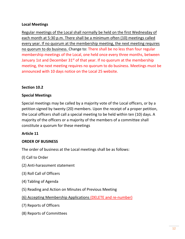#### **Local Meetings**

Regular meetings of the Local shall normally be held on the first Wednesday of each month at 5:30 p.m. There shall be a minimum often (10) meetings called every year. If no quorum at the membership meeting, the next meeting requires no quorum to do business. Change to: There shall be no less than four regular membership meetings of the Local, one held once every three months, between January 1st and December  $31<sup>st</sup>$  of that year. If no quorum at the membership meeting, the next meeting requires no quorum to do business. Meetings must be announced with 10 days notice on the Local 25 website.

#### **Section 10.2**

#### **Special Meetings**

Special meetings may be called by a majority vote of the Local officers, or by a petition signed by twenty (20) members. Upon the receipt of a proper petition, the Local officers shall call a special meeting to be held within ten (10) days. A majority of the officers or a majority of the members of a committee shall constitute a quorum for these meetings

#### **Article 11**

#### **ORDER OF BUSINESS**

The order of business at the Local meetings shall be as follows:

- (l) Call to Order
- (2) Anti-harassment statement
- (3) Roll Call of Officers
- (4) Tabling of Agenda
- (5) Reading and Action on Minutes of Previous Meeting
- (6) Accepting Membership Applications (DELETE and re-number)
- (7) Reports of Officers
- (8) Reports of Committees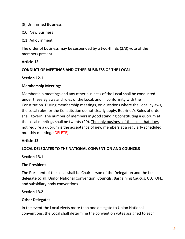(9) Unfinished Business

(10) New Business

(11) Adjournment

The order of business may be suspended by a two-thirds (2/3) vote of the members present.

### **Article 12**

### **CONDUCT OF MEETINGS AND OTHER BUSINESS OF THE LOCAL**

### **Section 12.1**

# **Membership Meetings**

Membership meetings and any other business of the Local shall be conducted under these Bylaws and rules of the Local, and in conformity with the Constitution. During membership meetings, on questions where the Local bylaws, the Local rules, or the Constitution do not clearly apply, Bourinot's Rules of order shall govern. The number of members in good standing constituting a quorum at the Local meetings shall be twenty (20). The only business of the local that does not require a quorum is the acceptance of new members at a regularly scheduled monthly meeting. (DELETE)

# **Article 13**

# **LOCAL DELEGATES TO THE NATIONAL CONVENTION AND COUNCILS**

# **Section 13.1**

# **The President**

The President of the Local shall be Chairperson of the Delegation and the first delegate to all, Unifor National Convention, Councils, Bargaining Caucus, CLC, OFL, and subsidiary body conventions.

# **Section 13.2**

# **Other Delegates**

In the event the Local elects more than one delegate to Union National conventions, the Local shall determine the convention votes assigned to each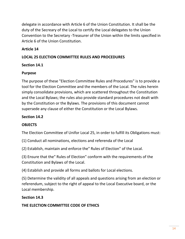delegate in accordance with Article 6 of the Union Constitution. It shall be the duty of the Secreary of the Local to certify the Local delegates to the Union Convention to the Secretary -Treasurer of the Union within the limits specified in Article 6 of the Union Constitution.

# **Article 14**

# **LOCAL 25 ELECTION COMMITTEE RULES AND PROCEDURES**

# **Section 14.1**

# **Purpose**

The purpose of these "Election Committee Rules and Procedures" is to provide a tool for the Election Committee and the members of the Local. The rules herein simply consolidate provisions, which are scattered throughout the Constitution and the Local Bylaws; the rules also provide standard procedures not dealt with by the Constitution or the Bylaws. The provisions of this document cannot supersede any clause of either the Constitution or the Local Bylaws.

# **Section 14.2**

# **OBJECTS**

The Election Committee of Unifor Local 25, in order to fulfill its Obligations must:

(1) Conduct all nominations, elections and referenda of the Local

(2) Establish, maintain and enforce the" Rules of Election" of the Local.

(3) Ensure that the" Rules of Election" conform with the requirements of the Constitution and Bylaws of the Local.

(4) Establish and provide all forms and ballots for Local elections.

(5) Determine the validity of all appeals and questions arising from an election or referendum, subject to the right of appeal to the Local Executive board, or the Local membership.

# **Section 14.3**

# **THE ELECTION COMMITTEE CODE OF ETHICS**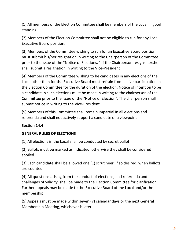(1) All members of the Election Committee shall be members of the Local in good standing.

(2) Members of the Election Committee shall not be eligible to run for any Local Executive Board position.

(3) Members of the Committee wishing to run for an Executive Board position must submit his/her resignation in writing to the Chairperson of the Committee prior to the issue of the "Notice of Elections. " If the Chairperson resigns he/she shall submit a resignation in writing to the Vice-President

(4) Members of the Committee wishing to be candidates in any elections of the Local other than for the Executive Board must refrain from active participation in the Election Committee for the duration of the election. Notice of intention to be a candidate in such elections must be made in writing to the chairperson of the Committee prior to the issue of the "Notice of Election". The chairperson shall submit notice in writing to the Vice-President.

(5) Members of this Committee shall remain impartial in all elections and referenda and shall not actively support a candidate or a viewpoint

# **Section 14.4**

#### **GENERAL RULES OF ELECTIONS**

(1) All elections in the Local shall be conducted by secret ballot.

(2) Ballots must be marked as indicated, otherwise they shall be considered spoiled.

(3) Each candidate shall be allowed one (1) scrutineer, if so desired, when ballots are counted.

(4) All questions arising from the conduct of elections, and referenda and challenges of validity, shall be made to the Election Committee for clarification. Further appeals may be made to the Executive Board of the Local and/or the membership.

(5) Appeals must be made within seven (7) calendar days or the next General Membership Meeting, whichever is later.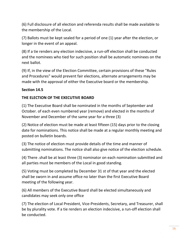(6) Full disclosure of all election and referenda results shall be made available to the membership of the Local.

(7) Ballots must be kept sealed for a period of one (1) year after the election, or longer in the event of an appeal.

(8) If a tie renders any election indecisive, a run-off election shall be conducted and the nominees who tied for such position shall be automatic nominees on the next ballot.

(9) If, in the view of the Election Committee, certain provisions of these "Rules and Procedures" would prevent fair elections, alternate arrangements may be made with the approval of either the Executive board or the membership.

# **Section 14.5**

### **THE ELECTION OF THE EXECUTIVE BOARD**

(1) The Executive Board shall be nominated in the months of September and October. of each even numbered year (remove) and elected in the months of November and December of the same year for a three (3)

(2) Notice of election must be made at least fifteen (15) days prior to the closing date for nominations. This notice shall be made at a regular monthly meeting and posted on bulletin boards.

(3) The notice of election must provide details of the time and manner of submitting nominations. The notice shall also give notice of the election schedule.

(4) There .shall be at least three (3) nominator on each nomination submitted and all parties must be members of the Local in good standing.

(5) Voting must be completed by December 31 st of that year and the elected shall be sworn in and assume office no later than the first Executive Board meeting of the following year.

(6) All members of the Executive Board shall be elected simultaneously and candidates may seek only one office

(7) The election of Local President, Vice-Presidents, Secretary, and Treasurer, shall be by plurality vote. If a tie renders an election indecisive, a run-off election shall be conducted.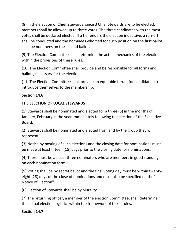(8) In the election of Chief Stewards, since 3 Chief Stewards are to be elected, members shall be allowed up to three votes. The three candidates with the most votes shall be declared elected. If a tie renders the election indecisive, a run-off shall be conducted and the nominees who tied for such position on the first ballot shall be nominees on the second ballot.

(9) The Election Committee shall determine the actual mechanics of the election within the provisions of these rules.

(10) The Election Committee shall provide and be responsible for all forms and ballots, necessary for the election.

(11) The Election Committee shall provide an equitable forum for candidates to introduce themselves to the membership.

### **Section 14.6**

### **THE ELECTION OF LOCAL STEWARDS**

(1) Stewards shall be nominated and elected for a three (3) in the months of January, February in the year immediately following the election of the Executive Board.

(2) Stewards shall be nominated and elected from and by the group they will represent.

(3) Notice by posting of such elections and the closing date for nominations must be made at least fifteen (15) days prior to the closing date for nominations.

(4) There must be at least three nominators who are members in good standing on each nomination form.

(5) Voting shall be by secret ballot and the final voting day must be within twentyeight (28) days of the close of nominations and must also be specified on the" Notice of Election".

(6) Election of Stewards shall be by plurality

(7) The returning officer, a member of the election Committee, shall determine the actual election logistics within the framework of these rules.

#### **Section 14.7**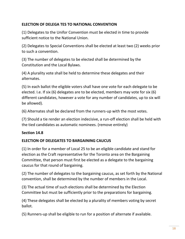# **ELECTION OF DELEGA TES TO NATIONAL CONVENTION**

(1) Delegates to the Unifor Convention must be elected in time to provide sufficient notice to the National Union.

(2) Delegates to Special Conventions shall be elected at least two (2) weeks prior to such a convention.

(3) The number of delegates to be elected shall be determined by the Constitution and the Local Bylaws.

(4) A plurality vote shall be held to determine these delegates and their alternates.

(5) In each ballot the eligible voters shall have one vote for each delegate to be elected. I.e. If six (6) delegates are to be elected, members may vote for six (6) different candidates, however a vote for any number of candidates, up to six will be allowed).

(6) Alternates shall be declared from the runners-up with the most votes.

(7) Should a tie render an election indecisive, a run-off election shall be held with the tied candidates as automatic nominees. (remove entirely)

# **Section 14.8**

# **ELECTION OF DELEGATES TO BARGAINING CAUCUS**

(1) In order for a member of Local 25 to be an eligible candidate and stand for election as the Craft representative for the Toronto area on the Bargaining Committee, that person must first be elected as a delegate to the bargaining caucus for that round of bargaining.

(2) The number of delegates to the bargaining caucus, as set forth by the National convention, shall be determined by the number of members in the Local.

(3) The actual time of such elections shall be determined by the Election Committee but must be sufficiently prior to the preparations for bargaining.

(4) These delegates shall be elected by a plurality of members voting by secret ballot.

(5) Runners-up shall be eligible to run for a position of alternate if available.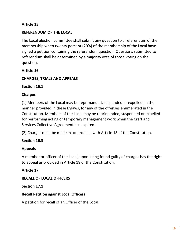### **Article 15**

#### **REFERENDUM OF THE LOCAL**

The Local election committee shall submit any question to a referendum of the membership when twenty percent (20%) of the membership of the Local have signed a petition containing the referendum question. Questions submitted to referendum shall be determined by a majority vote of those voting on the question.

#### **Article 16**

#### **CHARGES, TRIALS AND APPEALS**

**Section 16.1** 

#### **Charges**

(1) Members of the Local may be reprimanded, suspended or expelled, in the manner provided in these Bylaws, for any of the offenses enumerated in the Constitution. Members of the Local may be reprimanded, suspended or expelled for performing acting or temporary management work when the Craft and Services Collective Agreement has expired.

(2) Charges must be made in accordance with Article 18 of the Constitution.

#### **Section 16.3**

#### **Appeals**

A member or officer of the Local, upon being found guilty of charges has the right to appeal as provided in Article 18 of the Constitution.

**Article 17** 

#### **RECALL OF LOCAL OFFICERS**

#### **Section 17.1**

#### **Recall Petition against Local Officers**

A petition for recall of an Officer of the Local: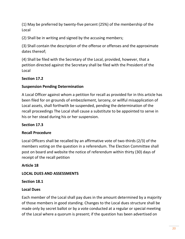(1) May be preferred by twenty-five percent (25%) of the membership of the Local

(2) Shall be in writing and signed by the accusing members;

(3) Shall contain the description of the offense or offenses and the approximate dates thereof;

(4) Shall be filed with the Secretary of the Local, provided, however, that a petition directed against the Secretary shall be filed with the President of the Local

# **Section 17.2**

# **Suspension Pending Determination**

A Local Officer against whom a petition for recall as provided for in this article has been filed for on grounds of embezzlement, larceny, or willful misapplication of Local assets, shall forthwith be suspended, pending the determination of the recall proceedings The Local shall cause a substitute to be appointed to serve in his or her stead during his or her suspension.

# **Section 17.3**

# **Recall Procedure**

Local Officers shall be recalled by an affirmative vote of two-thirds (2/3) of the members voting on the question in a referendum. The Election Committee shall post on board and website the notice of referendum within thirty (30) days of receipt of the recall petition

**Article 18** 

# **LOCAL DUES AND ASSESSMENTS**

# **Section 18.1**

# **Local Dues**

Each member of the Local shall pay dues in the amount determined by a majority of those members in good standing. Changes to the Local dues structure shall be made only by secret ballot or by a vote conducted at a regular or special meeting of the Local where a quorum is present; if the question has been advertised on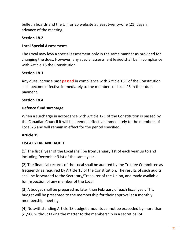bulletin boards and the Unifor 25 website at least twenty-one (21) days in advance of the meeting.

### **Section 18.2**

### **Local Special Assessments**

The Local may levy a special assessment only in the same manner as provided for changing the dues. However, any special assessment levied shall be in compliance with Article 15 the Constitution.

### **Section 18.3**

Any dues increase past passed in compliance with Article 15G of the Constitution shall become effective immediately to the members of Local 25 in their dues payment.

#### **Section 18.4**

### **Defence fund surcharge**

When a surcharge in accordance with Article 17C of the Constitution is passed by the Canadian Council it will be deemed effective immediately to the members of Local 25 and will remain in effect for the period specified.

# **Article 19**

# **FISCAL YEAR AND AUDIT**

(1) The fiscal year of the Local shall be from January 1st of each year up to and including December 31st of the same year.

(2) The financial records of the Local shall be audited by the Trustee Committee as frequently as required by Article 15 of the Constitution. The results of such audits shall be forwarded to the Secretary/Treasurer of the Union, and made available for inspection of any member of the Local.

(3) A budget shall be prepared no later than February of each fiscal year. This budget will be presented to the membership for their approval at a monthly membership meeting.

(4) Notwithstanding Article 18 budget amounts cannot be exceeded by more than \$1,500 without taking the matter to the membership in a secret ballot